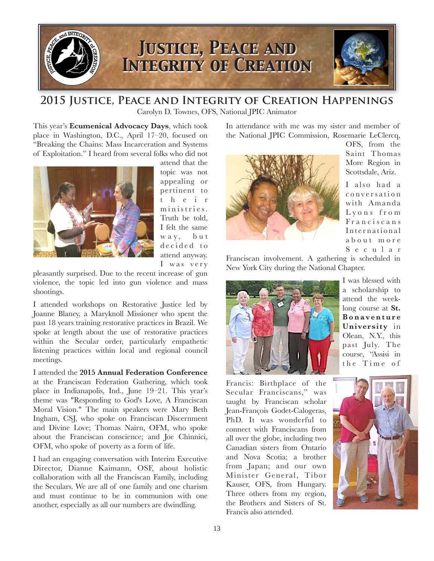

## **2015 Justice, Peace and Integrity of Creation Happenings**

Carolyn D. Townes, OFS, National JPIC Animator

This year's **Ecumenical Advocacy Days**, which took place in Washington, D.C., April 17–20, focused on "Breaking the Chains: Mass Incarceration and Systems of Exploitation." I heard from several folks who did not



attend that the topic was not appealing or pertinent to t h e i r ministries. Truth be told, I felt the same w a y, but d e cid e d to attend anyway. I was very

pleasantly surprised. Due to the recent increase of gun violence, the topic led into gun violence and mass shootings.

I attended workshops on Restorative Justice led by Joanne Blaney, a Maryknoll Missioner who spent the past 18 years training restorative practices in Brazil. We spoke at length about the use of restorative practices within the Secular order, particularly empathetic listening practices within local and regional council meetings.

I attended the **2015 Annual Federation Conference** at the Franciscan Federation Gathering, which took place in Indianapolis, Ind., June 19–21. This year's theme was "Responding to God's Love, A Franciscan Moral Vision." The main speakers were Mary Beth Ingham, CSJ, who spoke on Franciscan Discernment and Divine Love; Thomas Nairn, OFM, who spoke about the Franciscan conscience; and Joe Chinnici, OFM, who spoke of poverty as a form of life.

I had an engaging conversation with Interim Executive Director, Dianne Kaimann, OSF, about holistic collaboration with all the Franciscan Family, including the Seculars. We are all of one family and one charism and must continue to be in communion with one another, especially as all our numbers are dwindling.

In attendance with me was my sister and member of the National JPIC Commission, Rosemarie LeClercq,



OFS, from the Saint Thomas More Region in Scottsdale, Ariz.

I also had a c o n v e r s a t i o n with Amanda Lyons from Franciscans International a b o u t m o r e S e c u l a r

Franciscan involvement. A gathering is scheduled in New York City during the National Chapter.



I was blessed with a scholarship to attend the weeklong course at **St. B o n a v e n t u r e University** in Olean, N.Y., this past July. The course, "Assisi in the Time of

Francis: Birthplace of the Secular Franciscans," was taught by Franciscan scholar Jean-François Godet-Calogeras, PhD. It was wonderful to connect with Franciscans from all over the globe, including two Canadian sisters from Ontario and Nova Scotia; a brother from Japan; and our own Minister General, Tibor Kauser, OFS, from Hungary. Three others from my region, the Brothers and Sisters of St. Francis also attended.